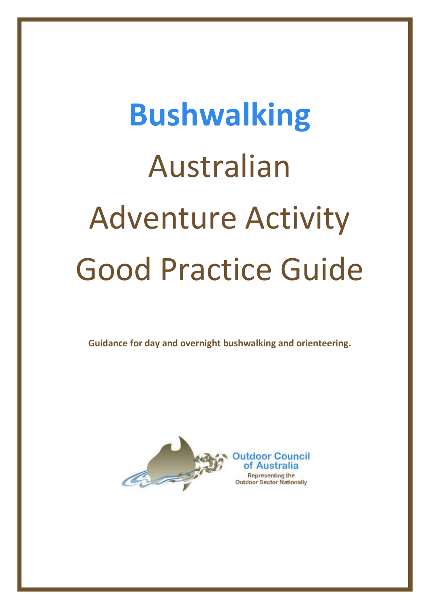# **Bushwalking** Australian Adventure Activity Good Practice Guide

**Guidance for day and overnight bushwalking and orienteering.**

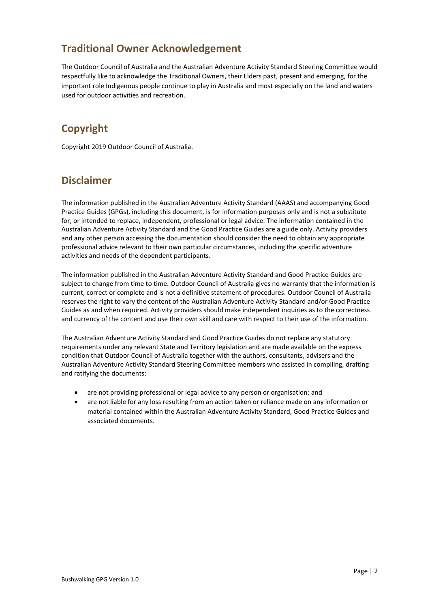# **Traditional Owner Acknowledgement**

The Outdoor Council of Australia and the Australian Adventure Activity Standard Steering Committee would respectfully like to acknowledge the Traditional Owners, their Elders past, present and emerging, for the important role Indigenous people continue to play in Australia and most especially on the land and waters used for outdoor activities and recreation.

# **Copyright**

Copyright 2019 Outdoor Council of Australia.

# **Disclaimer**

The information published in the Australian Adventure Activity Standard (AAAS) and accompanying Good Practice Guides (GPGs), including this document, is for information purposes only and is not a substitute for, or intended to replace, independent, professional or legal advice. The information contained in the Australian Adventure Activity Standard and the Good Practice Guides are a guide only. Activity providers and any other person accessing the documentation should consider the need to obtain any appropriate professional advice relevant to their own particular circumstances, including the specific adventure activities and needs of the dependent participants.

The information published in the Australian Adventure Activity Standard and Good Practice Guides are subject to change from time to time. Outdoor Council of Australia gives no warranty that the information is current, correct or complete and is not a definitive statement of procedures. Outdoor Council of Australia reserves the right to vary the content of the Australian Adventure Activity Standard and/or Good Practice Guides as and when required. Activity providers should make independent inquiries as to the correctness and currency of the content and use their own skill and care with respect to their use of the information.

The Australian Adventure Activity Standard and Good Practice Guides do not replace any statutory requirements under any relevant State and Territory legislation and are made available on the express condition that Outdoor Council of Australia together with the authors, consultants, advisers and the Australian Adventure Activity Standard Steering Committee members who assisted in compiling, drafting and ratifying the documents:

- are not providing professional or legal advice to any person or organisation; and
- are not liable for any loss resulting from an action taken or reliance made on any information or material contained within the Australian Adventure Activity Standard, Good Practice Guides and associated documents.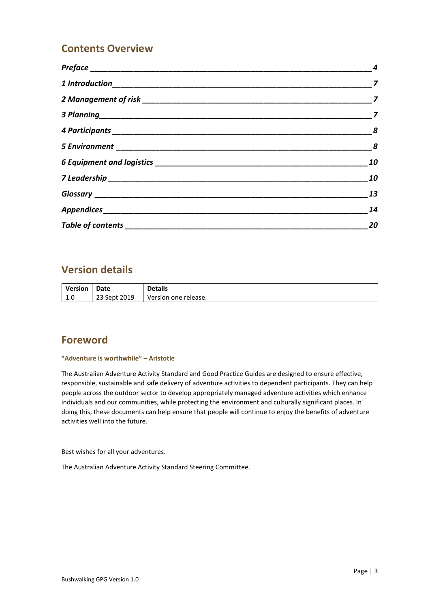# **Contents Overview**

| $\boldsymbol{8}$ |
|------------------|
| $\boldsymbol{8}$ |
| 10               |
| 10               |
| 13               |
| 14               |
| 20               |

# **Version details**

| <b>Version</b> | Date         | <b>Details</b>       |
|----------------|--------------|----------------------|
| $\sim$<br>1.U  | 23 Sept 2019 | Version one release. |

# **Foreword**

#### **"Adventure is worthwhile" – Aristotle**

The Australian Adventure Activity Standard and Good Practice Guides are designed to ensure effective, responsible, sustainable and safe delivery of adventure activities to dependent participants. They can help people across the outdoor sector to develop appropriately managed adventure activities which enhance individuals and our communities, while protecting the environment and culturally significant places. In doing this, these documents can help ensure that people will continue to enjoy the benefits of adventure activities well into the future.

Best wishes for all your adventures.

The Australian Adventure Activity Standard Steering Committee.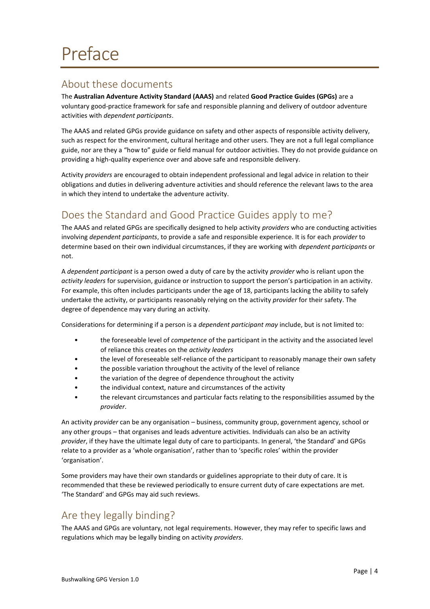# <span id="page-3-1"></span><span id="page-3-0"></span>About these documents

The **Australian Adventure Activity Standard (AAAS)** and related **Good Practice Guides (GPGs)** are a voluntary good-practice framework for safe and responsible planning and delivery of outdoor adventure activities with *dependent participants*.

The AAAS and related GPGs provide guidance on safety and other aspects of responsible activity delivery, such as respect for the environment, cultural heritage and other users. They are not a full legal compliance guide, nor are they a "how to" guide or field manual for outdoor activities. They do not provide guidance on providing a high-quality experience over and above safe and responsible delivery.

Activity *providers* are encouraged to obtain independent professional and legal advice in relation to their obligations and duties in delivering adventure activities and should reference the relevant laws to the area in which they intend to undertake the adventure activity.

# <span id="page-3-2"></span>Does the Standard and Good Practice Guides apply to me?

The AAAS and related GPGs are specifically designed to help activity *providers* who are conducting activities involving *dependent participants*, to provide a safe and responsible experience. It is for each *provider* to determine based on their own individual circumstances, if they are working with *dependent participants* or not.

A *dependent participant* is a person owed a duty of care by the activity *provider* who is reliant upon the *activity leaders* for supervision, guidance or instruction to support the person's participation in an activity. For example, this often includes participants under the age of 18, participants lacking the ability to safely undertake the activity, or participants reasonably relying on the activity *provider* for their safety. The degree of dependence may vary during an activity.

Considerations for determining if a person is a *dependent participant may* include, but is not limited to:

- the foreseeable level of *competence* of the participant in the activity and the associated level of reliance this creates on the *activity leaders*
- the level of foreseeable self-reliance of the participant to reasonably manage their own safety
- the possible variation throughout the activity of the level of reliance
- the variation of the degree of dependence throughout the activity
- the individual context, nature and circumstances of the activity
- the relevant circumstances and particular facts relating to the responsibilities assumed by the *provider*.

An activity *provider* can be any organisation – business, community group, government agency, school or any other groups – that organises and leads adventure activities. Individuals can also be an activity *provider*, if they have the ultimate legal duty of care to participants. In general, 'the Standard' and GPGs relate to a provider as a 'whole organisation', rather than to 'specific roles' within the provider 'organisation'.

Some providers may have their own standards or guidelines appropriate to their duty of care. It is recommended that these be reviewed periodically to ensure current duty of care expectations are met. 'The Standard' and GPGs may aid such reviews.

# <span id="page-3-3"></span>Are they legally binding?

The AAAS and GPGs are voluntary, not legal requirements. However, they may refer to specific laws and regulations which may be legally binding on activity *providers*.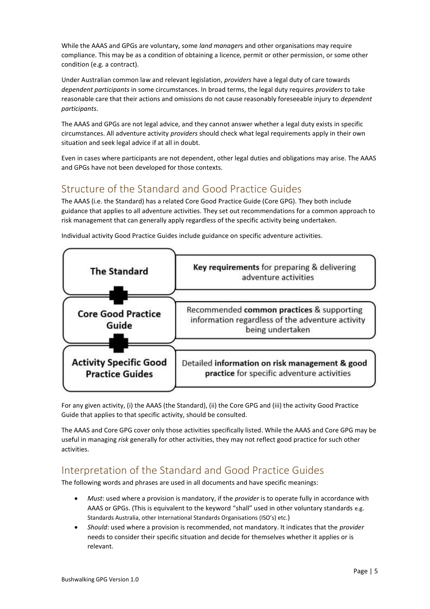While the AAAS and GPGs are voluntary, some *land manager*s and other organisations may require compliance. This may be as a condition of obtaining a licence, permit or other permission, or some other condition (e.g. a contract).

Under Australian common law and relevant legislation, *providers* have a legal duty of care towards *dependent participants* in some circumstances. In broad terms, the legal duty requires *providers* to take reasonable care that their actions and omissions do not cause reasonably foreseeable injury to *dependent participants*.

The AAAS and GPGs are not legal advice, and they cannot answer whether a legal duty exists in specific circumstances. All adventure activity *providers* should check what legal requirements apply in their own situation and seek legal advice if at all in doubt.

Even in cases where participants are not dependent, other legal duties and obligations may arise. The AAAS and GPGs have not been developed for those contexts.

# <span id="page-4-0"></span>Structure of the Standard and Good Practice Guides

The AAAS (i.e. the Standard) has a related Core Good Practice Guide (Core GPG). They both include guidance that applies to all adventure activities. They set out recommendations for a common approach to risk management that can generally apply regardless of the specific activity being undertaken.



Individual activity Good Practice Guides include guidance on specific adventure activities.

For any given activity, (i) the AAAS (the Standard), (ii) the Core GPG and (iii) the activity Good Practice Guide that applies to that specific activity, should be consulted.

The AAAS and Core GPG cover only those activities specifically listed. While the AAAS and Core GPG may be useful in managing *risk* generally for other activities, they may not reflect good practice for such other activities.

# <span id="page-4-1"></span>Interpretation of the Standard and Good Practice Guides

The following words and phrases are used in all documents and have specific meanings:

- *Must*: used where a provision is mandatory, if the *provider* is to operate fully in accordance with AAAS or GPGs. (This is equivalent to the keyword "shall" used in other voluntary standards e.g. Standards Australia, other International Standards Organisations (ISO's) etc.)
- *Should*: used where a provision is recommended, not mandatory. It indicates that the *provider* needs to consider their specific situation and decide for themselves whether it applies or is relevant.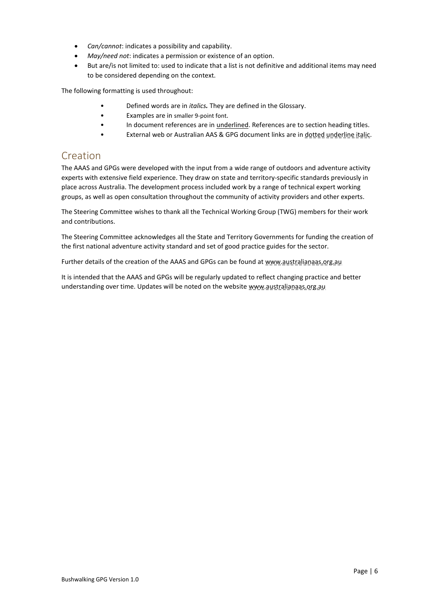- *Can/cannot*: indicates a possibility and capability.
- *May/need not*: indicates a permission or existence of an option.
- But are/is not limited to: used to indicate that a list is not definitive and additional items may need to be considered depending on the context.

The following formatting is used throughout:

- Defined words are in *italics.* They are defined in the [Glossary.](#page-12-0)
- Examples are in smaller 9-point font.
- In document references are in underlined. References are to section heading titles.
- External web or Australian AAS & GPG document links are in dotted underline italic.

### <span id="page-5-0"></span>Creation

The AAAS and GPGs were developed with the input from a wide range of outdoors and adventure activity experts with extensive field experience. They draw on state and territory-specific standards previously in place across Australia. The development process included work by a range of technical expert working groups, as well as open consultation throughout the community of activity providers and other experts.

The Steering Committee wishes to thank all the Technical Working Group (TWG) members for their work and contributions.

The Steering Committee acknowledges all the State and Territory Governments for funding the creation of the first national adventure activity standard and set of good practice guides for the sector.

Further details of the creation of the AAAS and GPGs can be found at www.australianaas.org.au

It is intended that the AAAS and GPGs will be regularly updated to reflect changing practice and better understanding over time. Updates will be noted on the website www.australianaas.org.au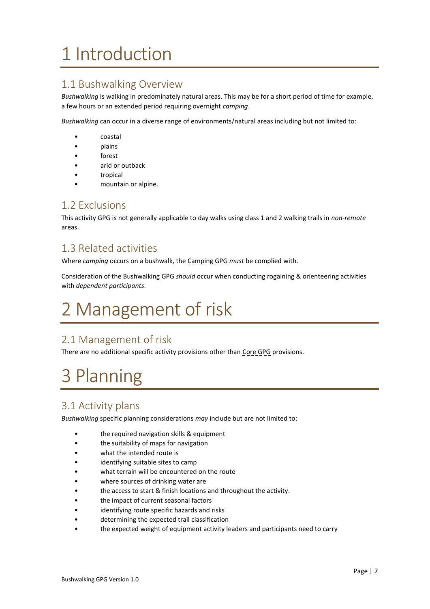# <span id="page-6-0"></span>1 Introduction

# <span id="page-6-3"></span>1.1 Bushwalking Overview

*Bushwalking* is walking in predominately natural areas. This may be for a short period of time for example, a few hours or an extended period requiring overnight *camping*.

*Bushwalking* can occur in a diverse range of environments/natural areas including but not limited to:

- coastal
- plains
- forest
- arid or outback
- tropical
- mountain or alpine.

### <span id="page-6-4"></span>1.2 Exclusions

This activity GPG is not generally applicable to day walks using class 1 and 2 walking trails in *non-remote* areas.

# <span id="page-6-5"></span>1.3 Related activities

Where *camping* occurs on a bushwalk, the Camping GPG *must* be complied with.

Consideration of the Bushwalking GPG *should* occur when conducting rogaining & orienteering activities with *dependent participants*.

# <span id="page-6-1"></span>2 Management of risk

# <span id="page-6-6"></span>2.1 Management of risk

There are no additional specific activity provisions other than Core GPG provisions.

# <span id="page-6-2"></span>3 Planning

# <span id="page-6-7"></span>3.1 Activity plans

*Bushwalking* specific planning considerations *may* include but are not limited to:

- the required navigation skills & equipment
- the suitability of maps for navigation
- what the intended route is
- identifying suitable sites to camp
- what terrain will be encountered on the route
- where sources of drinking water are
- the access to start & finish locations and throughout the activity.
- the impact of current seasonal factors
- identifying route specific hazards and risks
- determining the expected trail classification
- the expected weight of equipment activity leaders and participants need to carry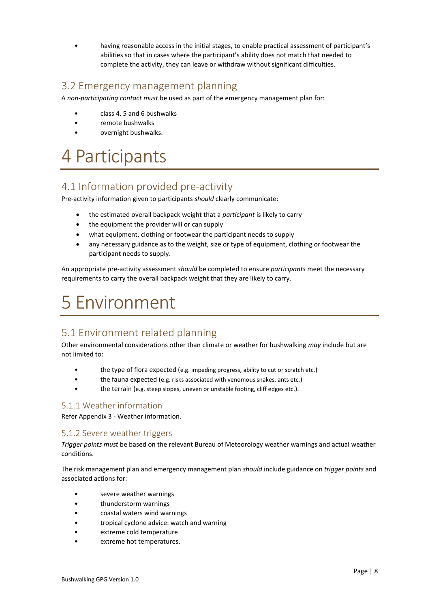• having reasonable access in the initial stages, to enable practical assessment of participant's abilities so that in cases where the participant's ability does not match that needed to complete the activity, they can leave or withdraw without significant difficulties.

# <span id="page-7-2"></span>3.2 Emergency management planning

A *non-participating contact must* be used as part of the emergency management plan for:

- class 4, 5 and 6 bushwalks
- remote bushwalks
- overnight bushwalks.

# <span id="page-7-0"></span>4 Participants

# <span id="page-7-3"></span>4.1 Information provided pre-activity

Pre-activity information given to participants *should* clearly communicate:

- the estimated overall backpack weight that a *participant* is likely to carry
- the equipment the provider will or can supply
- what equipment, clothing or footwear the participant needs to supply
- any necessary guidance as to the weight, size or type of equipment, clothing or footwear the participant needs to supply.

An appropriate pre-activity assessment *should* be completed to ensure *participants* meet the necessary requirements to carry the overall backpack weight that they are likely to carry.

# <span id="page-7-1"></span>5 Environment

# <span id="page-7-4"></span>5.1 Environment related planning

Other environmental considerations other than climate or weather for bushwalking *may* include but are not limited to:

- the type of flora expected (e.g. impeding progress, ability to cut or scratch etc.)
- the fauna expected (e.g. risks associated with venomous snakes, ants etc.)
- the terrain (e.g. steep slopes, uneven or unstable footing, cliff edges etc.).

#### <span id="page-7-5"></span>5.1.1 Weather information

Refer Appendix 3 - [Weather information.](#page-16-0)

#### <span id="page-7-6"></span>5.1.2 Severe weather triggers

*Trigger points must* be based on the relevant Bureau of Meteorology weather warnings and actual weather conditions.

The risk management plan and emergency management plan *should* include guidance on *trigger points* and associated actions for:

- severe weather warnings
- thunderstorm warnings
- coastal waters wind warnings
- tropical cyclone advice: watch and warning
- extreme cold temperature
- extreme hot temperatures.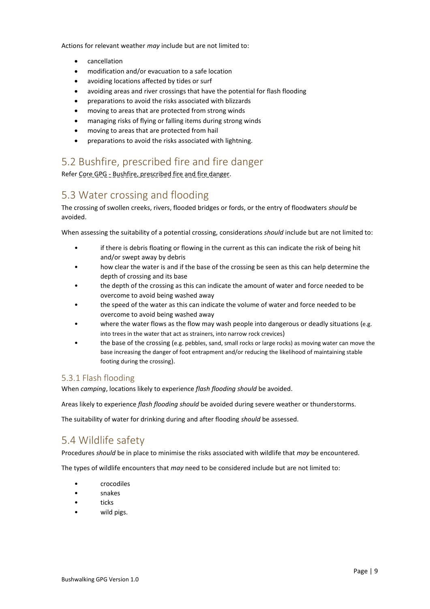Actions for relevant weather *may* include but are not limited to:

- cancellation
- modification and/or evacuation to a safe location
- avoiding locations affected by tides or surf
- avoiding areas and river crossings that have the potential for flash flooding
- preparations to avoid the risks associated with blizzards
- moving to areas that are protected from strong winds
- managing risks of flying or falling items during strong winds
- moving to areas that are protected from hail
- preparations to avoid the risks associated with lightning.

# <span id="page-8-0"></span>5.2 Bushfire, prescribed fire and fire danger

Refer Core GPG - Bushfire, prescribed fire and fire danger.

# <span id="page-8-1"></span>5.3 Water crossing and flooding

The crossing of swollen creeks, rivers, flooded bridges or fords, or the entry of floodwaters *should* be avoided.

When assessing the suitability of a potential crossing, considerations *should* include but are not limited to:

- if there is debris floating or flowing in the current as this can indicate the risk of being hit and/or swept away by debris
- how clear the water is and if the base of the crossing be seen as this can help determine the depth of crossing and its base
- the depth of the crossing as this can indicate the amount of water and force needed to be overcome to avoid being washed away
- the speed of the water as this can indicate the volume of water and force needed to be overcome to avoid being washed away
- where the water flows as the flow may wash people into dangerous or deadly situations (e.g. into trees in the water that act as strainers, into narrow rock crevices)
- the base of the crossing (e.g. pebbles, sand, small rocks or large rocks) as moving water can move the base increasing the danger of foot entrapment and/or reducing the likelihood of maintaining stable footing during the crossing).

#### <span id="page-8-2"></span>5.3.1 Flash flooding

When *camping*, locations likely to experience *flash flooding should* be avoided.

Areas likely to experience *flash flooding should* be avoided during severe weather or thunderstorms.

The suitability of water for drinking during and after flooding *should* be assessed.

### <span id="page-8-3"></span>5.4 Wildlife safety

Procedures *should* be in place to minimise the risks associated with wildlife that *may* be encountered.

The types of wildlife encounters that *may* need to be considered include but are not limited to:

- crocodiles
- snakes
- ticks
- wild pigs.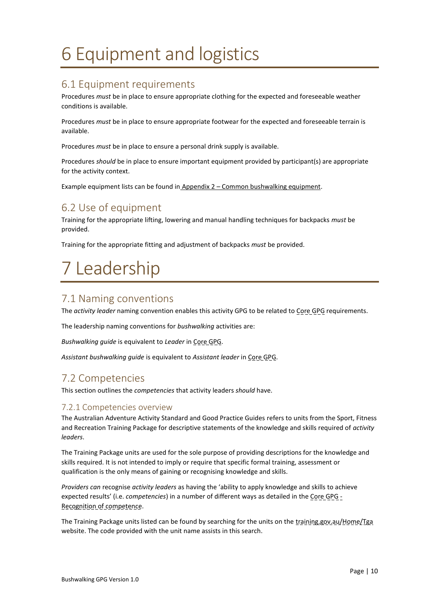# <span id="page-9-0"></span>6 Equipment and logistics

# <span id="page-9-2"></span>6.1 Equipment requirements

Procedures *must* be in place to ensure appropriate clothing for the expected and foreseeable weather conditions is available.

Procedures *must* be in place to ensure appropriate footwear for the expected and foreseeable terrain is available.

Procedures *must* be in place to ensure a personal drink supply is available.

Procedures *should* be in place to ensure important equipment provided by participant(s) are appropriate for the activity context.

Example equipment lists can be found in Appendix 2 – [Common bushwalking equipment.](#page-14-0)

# <span id="page-9-3"></span>6.2 Use of equipment

Training for the appropriate lifting, lowering and manual handling techniques for backpacks *must* be provided.

Training for the appropriate fitting and adjustment of backpacks *must* be provided.

# <span id="page-9-1"></span>7 Leadership

### <span id="page-9-4"></span>7.1 Naming conventions

The *activity leader* naming convention enables this activity GPG to be related to Core GPG requirements.

The leadership naming conventions for *bushwalking* activities are:

*Bushwalking guide* is equivalent to *Leader* in Core GPG.

*Assistant bushwalking guide* is equivalent to *Assistant leader* in Core GPG.

# <span id="page-9-5"></span>7.2 Competencies

This section outlines the *competencies* that activity leaders *should* have.

#### <span id="page-9-6"></span>7.2.1 Competencies overview

The Australian Adventure Activity Standard and Good Practice Guides refers to units from the Sport, Fitness and Recreation Training Package for descriptive statements of the knowledge and skills required of *activity leaders*.

The Training Package units are used for the sole purpose of providing descriptions for the knowledge and skills required. It is not intended to imply or require that specific formal training, assessment or qualification is the only means of gaining or recognising knowledge and skills.

*Providers can* recognise *activity leaders* as having the 'ability to apply knowledge and skills to achieve expected results' (i.e. *competencies*) in a number of different ways as detailed in the Core GPG -Recognition of competence.

The Training Package units listed can be found by searching for the units on the training.gov.au/Home/Tga website. The code provided with the unit name assists in this search.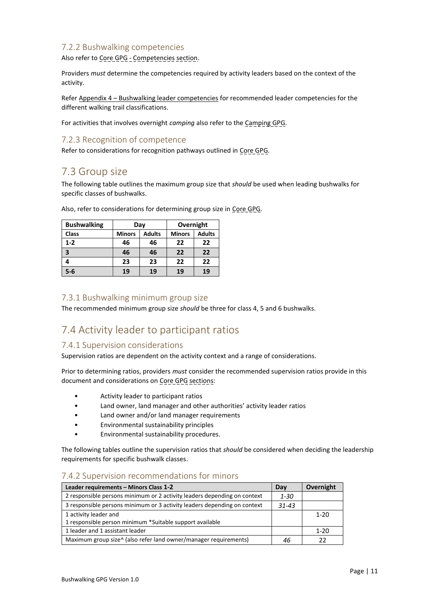#### <span id="page-10-0"></span>7.2.2 Bushwalking competencies

Also refer to Core GPG - Competencies section.

Providers *must* determine the competencies required by activity leaders based on the context of the activity.

Refer Appendix 4 – [Bushwalking leader competencies](#page-17-0) for recommended leader competencies for the different walking trail classifications.

For activities that involves overnight *camping* also refer to the Camping GPG.

#### <span id="page-10-1"></span>7.2.3 Recognition of competence

Refer to considerations for recognition pathways outlined in Core GPG.

### <span id="page-10-2"></span>7.3 Group size

The following table outlines the maximum group size that *should* be used when leading bushwalks for specific classes of bushwalks.

| <b>Bushwalking</b> | Day           |               |               |               | Overnight |  |
|--------------------|---------------|---------------|---------------|---------------|-----------|--|
| <b>Class</b>       | <b>Minors</b> | <b>Adults</b> | <b>Minors</b> | <b>Adults</b> |           |  |
| $1-2$              | 46            | 46            | 22            | 22            |           |  |
| 3                  | 46            | 46            | 22            | 22            |           |  |
|                    | 23            | 23            | 22            | 22            |           |  |
| $5-6$              | 19            | 19            | 19            | 19            |           |  |

Also, refer to considerations for determining group size in Core GPG.

#### <span id="page-10-3"></span>7.3.1 Bushwalking minimum group size

The recommended minimum group size *should* be three for class 4, 5 and 6 bushwalks.

### <span id="page-10-4"></span>7.4 Activity leader to participant ratios

#### <span id="page-10-5"></span>7.4.1 Supervision considerations

Supervision ratios are dependent on the activity context and a range of considerations.

Prior to determining ratios, providers *must* consider the recommended supervision ratios provide in this document and considerations on Core GPG sections:

- Activity leader to participant ratios
- Land owner, land manager and other authorities' activity leader ratios
- Land owner and/or land manager requirements
- Environmental sustainability principles
- Environmental sustainability procedures.

The following tables outline the supervision ratios that *should* be considered when deciding the leadership requirements for specific bushwalk classes.

#### <span id="page-10-6"></span>7.4.2 Supervision recommendations for minors

| Leader requirements - Minors Class 1-2                                   | Dav       | Overnight |
|--------------------------------------------------------------------------|-----------|-----------|
| 2 responsible persons minimum or 2 activity leaders depending on context | $1 - 30$  |           |
| 3 responsible persons minimum or 3 activity leaders depending on context | $31 - 43$ |           |
| 1 activity leader and                                                    |           | $1 - 20$  |
| 1 responsible person minimum *Suitable support available                 |           |           |
| 1 leader and 1 assistant leader                                          |           | $1 - 20$  |
| Maximum group size^ (also refer land owner/manager requirements)         | 46        |           |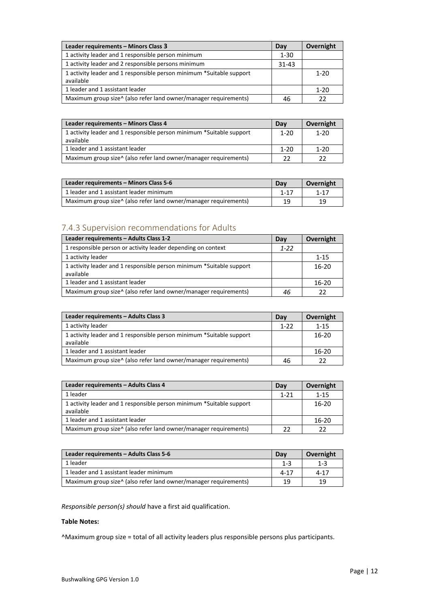| Leader requirements - Minors Class 3                                              | Dav       | Overnight |
|-----------------------------------------------------------------------------------|-----------|-----------|
| 1 activity leader and 1 responsible person minimum                                | 1-30      |           |
| 1 activity leader and 2 responsible persons minimum                               | $31 - 43$ |           |
| 1 activity leader and 1 responsible person minimum *Suitable support<br>available |           | $1 - 20$  |
| 1 leader and 1 assistant leader                                                   |           | $1 - 20$  |
| Maximum group size^ (also refer land owner/manager requirements)                  | 46        |           |

| Leader requirements - Minors Class 4                                              |          | Overnight |
|-----------------------------------------------------------------------------------|----------|-----------|
| 1 activity leader and 1 responsible person minimum *Suitable support<br>available | $1 - 20$ | $1 - 20$  |
| 1 leader and 1 assistant leader                                                   | $1 - 20$ | $1 - 20$  |
| Maximum group size^ (also refer land owner/manager requirements)                  | 22       |           |

| Leader requirements – Minors Class 5-6                                       | Dav      | Overnight |
|------------------------------------------------------------------------------|----------|-----------|
| 1 leader and 1 assistant leader minimum                                      | $1 - 17$ | $1 - 17$  |
| Maximum group size <sup>^</sup> (also refer land owner/manager requirements) | 19       |           |

# <span id="page-11-0"></span>7.4.3 Supervision recommendations for Adults

| Leader requirements - Adults Class 1-2                                            | Day      | Overnight |
|-----------------------------------------------------------------------------------|----------|-----------|
| 1 responsible person or activity leader depending on context                      | $1 - 22$ |           |
| 1 activity leader                                                                 |          | $1 - 15$  |
| 1 activity leader and 1 responsible person minimum *Suitable support<br>available |          | $16-20$   |
| 1 leader and 1 assistant leader                                                   |          | $16 - 20$ |
| Maximum group size <sup>^</sup> (also refer land owner/manager requirements)      | 46       |           |

| Leader requirements - Adults Class 3                                              |          | Overnight |
|-----------------------------------------------------------------------------------|----------|-----------|
| 1 activity leader                                                                 | $1 - 22$ | $1 - 15$  |
| 1 activity leader and 1 responsible person minimum *Suitable support<br>available |          | 16-20     |
| 1 leader and 1 assistant leader                                                   |          | $16-20$   |
| Maximum group size <sup>^</sup> (also refer land owner/manager requirements)      | 46       |           |

| Leader requirements - Adults Class 4                                              |          | Overnight |
|-----------------------------------------------------------------------------------|----------|-----------|
| 1 leader                                                                          | $1 - 21$ | $1 - 15$  |
| 1 activity leader and 1 responsible person minimum *Suitable support<br>available |          | $16-20$   |
| 1 leader and 1 assistant leader                                                   |          | $16 - 20$ |
| Maximum group size <sup>^</sup> (also refer land owner/manager requirements)      | 22       |           |

| Leader requirements - Adults Class 5-6                                       |          | Overnight |
|------------------------------------------------------------------------------|----------|-----------|
| 1 leader                                                                     | $1 - 3$  | $1 - 3$   |
| 1 leader and 1 assistant leader minimum                                      | $4 - 17$ | $4 - 17$  |
| Maximum group size <sup>^</sup> (also refer land owner/manager requirements) | 19       | 19        |

*Responsible person(s) should* have a first aid qualification.

#### **Table Notes:**

^Maximum group size = total of all activity leaders plus responsible persons plus participants.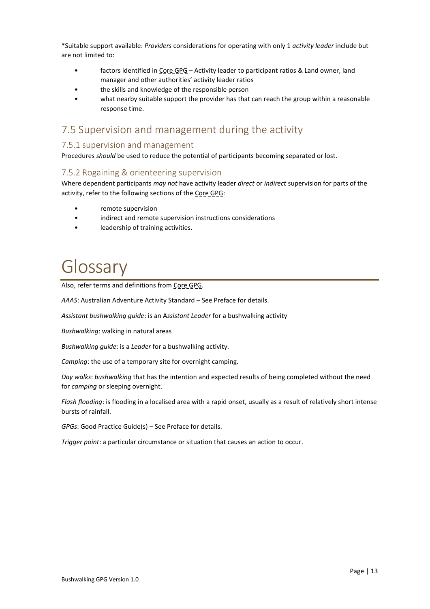\*Suitable support available: *Providers* considerations for operating with only 1 *activity leader* include but are not limited to:

- factors identified in Core GPG Activity leader to participant ratios & Land owner, land manager and other authorities' activity leader ratios
- the skills and knowledge of the responsible person
- what nearby suitable support the provider has that can reach the group within a reasonable response time.

### <span id="page-12-1"></span>7.5 Supervision and management during the activity

#### <span id="page-12-2"></span>7.5.1 supervision and management

Procedures *should* be used to reduce the potential of participants becoming separated or lost.

#### <span id="page-12-3"></span>7.5.2 Rogaining & orienteering supervision

Where dependent participants *may not* have activity leader *direct* or *indirect* supervision for parts of the activity, refer to the following sections of the Core GPG:

- remote supervision
- indirect and remote supervision instructions considerations
- leadership of training activities.

# <span id="page-12-0"></span>Glossary

Also, refer terms and definitions from Core GPG.

*AAAS*: Australian Adventure Activity Standard – See Preface for details.

*Assistant bushwalking guide*: is an A*ssistant Leader* for a bushwalking activity

*Bushwalking*: walking in natural areas

*Bushwalking guide*: is a *Leader* for a bushwalking activity.

*Camping*: the use of a temporary site for overnight camping.

*Day walks*: *bushwalking* that has the intention and expected results of being completed without the need for *camping* or sleeping overnight.

*Flash flooding*: is flooding in a localised area with a rapid onset, usually as a result of relatively short intense bursts of rainfall.

*GPGs*: Good Practice Guide(s) – See Preface for details.

*Trigger point*: a particular circumstance or situation that causes an action to occur.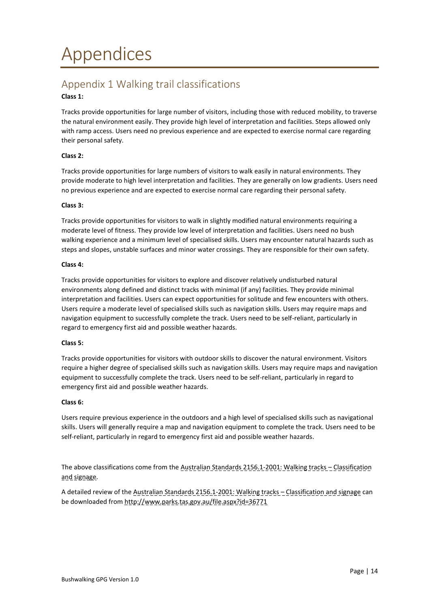# <span id="page-13-1"></span><span id="page-13-0"></span>Appendix 1 Walking trail classifications

#### **Class 1:**

Tracks provide opportunities for large number of visitors, including those with reduced mobility, to traverse the natural environment easily. They provide high level of interpretation and facilities. Steps allowed only with ramp access. Users need no previous experience and are expected to exercise normal care regarding their personal safety.

#### **Class 2:**

Tracks provide opportunities for large numbers of visitors to walk easily in natural environments. They provide moderate to high level interpretation and facilities. They are generally on low gradients. Users need no previous experience and are expected to exercise normal care regarding their personal safety.

#### **Class 3:**

Tracks provide opportunities for visitors to walk in slightly modified natural environments requiring a moderate level of fitness. They provide low level of interpretation and facilities. Users need no bush walking experience and a minimum level of specialised skills. Users may encounter natural hazards such as steps and slopes, unstable surfaces and minor water crossings. They are responsible for their own safety.

#### **Class 4:**

Tracks provide opportunities for visitors to explore and discover relatively undisturbed natural environments along defined and distinct tracks with minimal (if any) facilities. They provide minimal interpretation and facilities. Users can expect opportunities for solitude and few encounters with others. Users require a moderate level of specialised skills such as navigation skills. Users may require maps and navigation equipment to successfully complete the track. Users need to be self-reliant, particularly in regard to emergency first aid and possible weather hazards.

#### **Class 5:**

Tracks provide opportunities for visitors with outdoor skills to discover the natural environment. Visitors require a higher degree of specialised skills such as navigation skills. Users may require maps and navigation equipment to successfully complete the track. Users need to be self-reliant, particularly in regard to emergency first aid and possible weather hazards.

#### **Class 6:**

Users require previous experience in the outdoors and a high level of specialised skills such as navigational skills. Users will generally require a map and navigation equipment to complete the track. Users need to be self-reliant, particularly in regard to emergency first aid and possible weather hazards.

The above classifications come from the Australian Standards 2156.1-2001: Walking tracks - Classification and signage.

A detailed review of the Australian Standards 2156.1-2001: Walking tracks - Classification and signage can be downloaded from http://www.parks.tas.gov.au/file.aspx?id=36771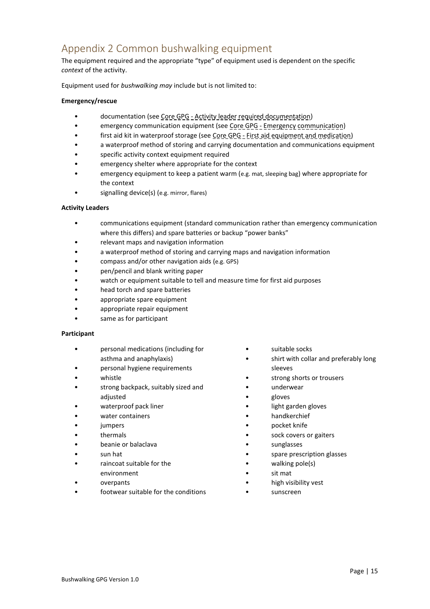# <span id="page-14-0"></span>Appendix 2 Common bushwalking equipment

The equipment required and the appropriate "type" of equipment used is dependent on the specific *context* of the activity.

Equipment used for *bushwalking may* include but is not limited to:

#### **Emergency/rescue**

- documentation (see Core GPG Activity leader required documentation)
- emergency communication equipment (see Core GPG Emergency communication)
- first aid kit in waterproof storage (see Core GPG First aid equipment and medication)
- a waterproof method of storing and carrying documentation and communications equipment
- specific activity context equipment required
- emergency shelter where appropriate for the context
- emergency equipment to keep a patient warm (e.g. mat, sleeping bag) where appropriate for the context
- signalling device(s) (e.g. mirror, flares)

#### **Activity Leaders**

- communications equipment (standard communication rather than emergency communication where this differs) and spare batteries or backup "power banks"
- relevant maps and navigation information
- a waterproof method of storing and carrying maps and navigation information
- compass and/or other navigation aids (e.g. GPS)
- pen/pencil and blank writing paper
- watch or equipment suitable to tell and measure time for first aid purposes
- head torch and spare batteries
- appropriate spare equipment
- appropriate repair equipment
- same as for participant

#### **Participant**

- personal medications (including for asthma and anaphylaxis)
- personal hygiene requirements
- whistle
- strong backpack, suitably sized and adjusted
- waterproof pack liner
- water containers
- **jumpers**
- thermals
- beanie or balaclava
- sun hat
- raincoat suitable for the environment
- overpants
- footwear suitable for the conditions
- suitable socks
- shirt with collar and preferably long sleeves
- strong shorts or trousers
- underwear
- gloves
- light garden gloves
- handkerchief
- pocket knife
- sock covers or gaiters
- sunglasses
- spare prescription glasses
- walking pole(s)
- sit mat
- high visibility vest
- sunscreen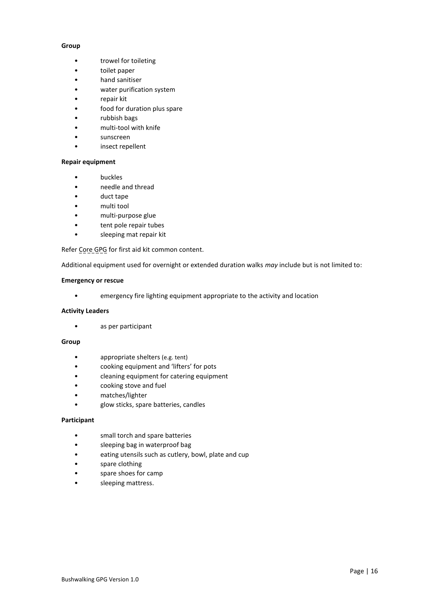#### **Group**

- trowel for toileting
- toilet paper
- hand sanitiser
- water purification system
- repair kit
- food for duration plus spare
- rubbish bags
- multi-tool with knife
- sunscreen
- insect repellent

#### **Repair equipment**

- buckles
- needle and thread
- duct tape
- multi tool
- multi-purpose glue
- tent pole repair tubes
- sleeping mat repair kit

Refer Core GPG for first aid kit common content.

Additional equipment used for overnight or extended duration walks *may* include but is not limited to:

#### **Emergency or rescue**

• emergency fire lighting equipment appropriate to the activity and location

#### **Activity Leaders**

• as per participant

#### **Group**

- appropriate shelters (e.g. tent)
- cooking equipment and 'lifters' for pots
- cleaning equipment for catering equipment
- cooking stove and fuel
- matches/lighter
- glow sticks, spare batteries, candles

#### **Participant**

- small torch and spare batteries
- sleeping bag in waterproof bag
- eating utensils such as cutlery, bowl, plate and cup
- spare clothing
- spare shoes for camp
- sleeping mattress.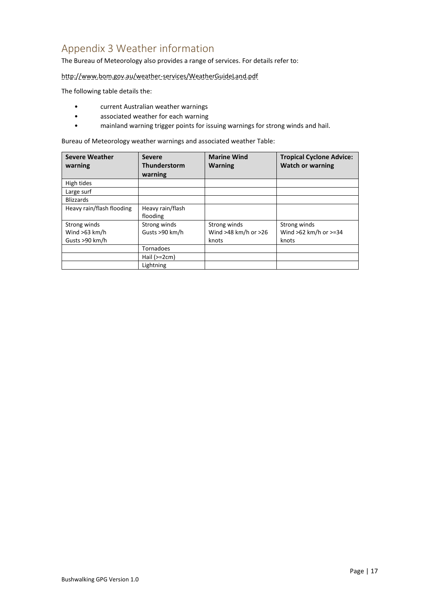# <span id="page-16-0"></span>Appendix 3 Weather information

The Bureau of Meteorology also provides a range of services. For details refer to:

http://www.bom.gov.au/weather-services/WeatherGuideLand.pdf

The following table details the:

- current Australian weather warnings
- associated weather for each warning
- mainland warning trigger points for issuing warnings for strong winds and hail.

Bureau of Meteorology weather warnings and associated weather Table:

| <b>Severe Weather</b><br>warning                  | <b>Severe</b><br>Thunderstorm<br>warning | <b>Marine Wind</b><br><b>Warning</b>              | <b>Tropical Cyclone Advice:</b><br><b>Watch or warning</b> |
|---------------------------------------------------|------------------------------------------|---------------------------------------------------|------------------------------------------------------------|
| High tides                                        |                                          |                                                   |                                                            |
| Large surf                                        |                                          |                                                   |                                                            |
| <b>Blizzards</b>                                  |                                          |                                                   |                                                            |
| Heavy rain/flash flooding                         | Heavy rain/flash<br>flooding             |                                                   |                                                            |
| Strong winds<br>Wind $>63$ km/h<br>Gusts >90 km/h | Strong winds<br>Gusts >90 km/h           | Strong winds<br>Wind $>48$ km/h or $>26$<br>knots | Strong winds<br>Wind $>62$ km/h or $>=34$<br>knots         |
|                                                   | <b>Tornadoes</b>                         |                                                   |                                                            |
|                                                   | Hail $(>=2cm)$                           |                                                   |                                                            |
|                                                   | Lightning                                |                                                   |                                                            |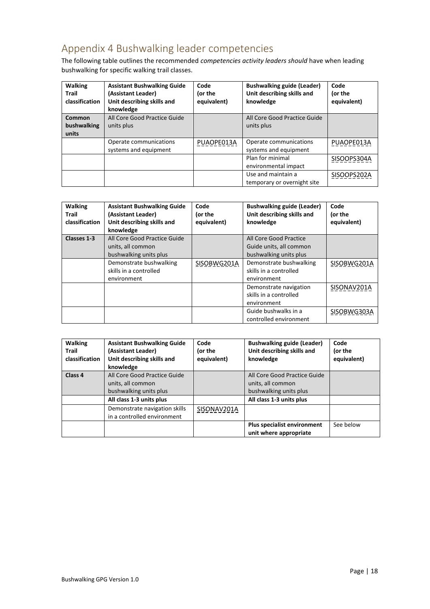# <span id="page-17-0"></span>Appendix 4 Bushwalking leader competencies

The following table outlines the recommended *competencies activity leaders should* have when leading bushwalking for specific walking trail classes.

| <b>Walking</b><br>Trail<br>classification | <b>Assistant Bushwalking Guide</b><br>(Assistant Leader)<br>Unit describing skills and<br>knowledge | Code<br>(or the<br>equivalent) | <b>Bushwalking guide (Leader)</b><br>Unit describing skills and<br>knowledge | Code<br>(or the<br>equivalent) |
|-------------------------------------------|-----------------------------------------------------------------------------------------------------|--------------------------------|------------------------------------------------------------------------------|--------------------------------|
| <b>Common</b><br>bushwalking<br>units     | All Core Good Practice Guide<br>units plus                                                          |                                | All Core Good Practice Guide<br>units plus                                   |                                |
|                                           | Operate communications<br>systems and equipment                                                     | PUAOPE013A                     | Operate communications<br>systems and equipment                              | PUAOPE013A                     |
|                                           |                                                                                                     |                                | Plan for minimal<br>environmental impact                                     | SISOOPS304A                    |
|                                           |                                                                                                     |                                | Use and maintain a<br>temporary or overnight site                            | SISOOPS202A                    |

| <b>Walking</b><br>Trail<br>classification | <b>Assistant Bushwalking Guide</b><br>(Assistant Leader)<br>Unit describing skills and<br>knowledge | Code<br>(or the<br>equivalent) | <b>Bushwalking guide (Leader)</b><br>Unit describing skills and<br>knowledge | Code<br>(or the<br>equivalent) |
|-------------------------------------------|-----------------------------------------------------------------------------------------------------|--------------------------------|------------------------------------------------------------------------------|--------------------------------|
| Classes 1-3                               | All Core Good Practice Guide<br>units, all common<br>bushwalking units plus                         |                                | All Core Good Practice<br>Guide units, all common<br>bushwalking units plus  |                                |
|                                           | Demonstrate bushwalking<br>skills in a controlled<br>environment                                    | SISOBWG201A                    | Demonstrate bushwalking<br>skills in a controlled<br>environment             | SISOBWG201A                    |
|                                           |                                                                                                     |                                | Demonstrate navigation<br>skills in a controlled<br>environment              | SISONAV201A                    |
|                                           |                                                                                                     |                                | Guide bushwalks in a<br>controlled environment                               | SISOBWG303A                    |

| <b>Walking</b><br><b>Trail</b><br>classification | <b>Assistant Bushwalking Guide</b><br>(Assistant Leader)<br>Unit describing skills and<br>knowledge | Code<br>(or the<br>equivalent) | <b>Bushwalking guide (Leader)</b><br>Unit describing skills and<br>knowledge | Code<br>(or the<br>equivalent) |
|--------------------------------------------------|-----------------------------------------------------------------------------------------------------|--------------------------------|------------------------------------------------------------------------------|--------------------------------|
| Class 4                                          | All Core Good Practice Guide<br>units, all common<br>bushwalking units plus                         |                                | All Core Good Practice Guide<br>units, all common<br>bushwalking units plus  |                                |
|                                                  | All class 1-3 units plus                                                                            |                                | All class 1-3 units plus                                                     |                                |
|                                                  | Demonstrate navigation skills<br>in a controlled environment                                        | SISONAV201A                    |                                                                              |                                |
|                                                  |                                                                                                     |                                | <b>Plus specialist environment</b><br>unit where appropriate                 | See below                      |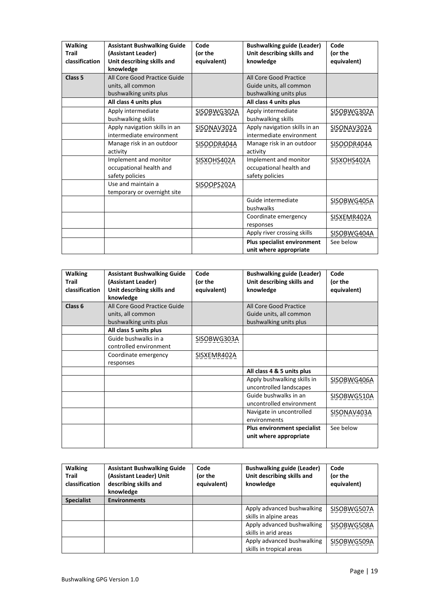| <b>Walking</b><br><b>Trail</b><br>classification | <b>Assistant Bushwalking Guide</b><br>(Assistant Leader)<br>Unit describing skills and<br>knowledge | Code<br>(or the<br>equivalent) | <b>Bushwalking guide (Leader)</b><br>Unit describing skills and<br>knowledge    | Code<br>(or the<br>equivalent) |
|--------------------------------------------------|-----------------------------------------------------------------------------------------------------|--------------------------------|---------------------------------------------------------------------------------|--------------------------------|
| Class <sub>5</sub>                               | All Core Good Practice Guide<br>units, all common<br>bushwalking units plus                         |                                | All Core Good Practice<br>Guide units, all common<br>bushwalking units plus     |                                |
|                                                  | All class 4 units plus<br>Apply intermediate                                                        | SISOBWG302A                    | All class 4 units plus<br>Apply intermediate                                    | SISOBWG302A                    |
|                                                  | bushwalking skills<br>Apply navigation skills in an<br>intermediate environment                     | SISONAV302A                    | bushwalking skills<br>Apply navigation skills in an<br>intermediate environment | SISONAV302A                    |
|                                                  | Manage risk in an outdoor<br>activity                                                               | SISOODR404A                    | Manage risk in an outdoor<br>activity                                           | SISOODR404A                    |
|                                                  | Implement and monitor<br>occupational health and<br>safety policies                                 | SISXOHS402A                    | Implement and monitor<br>occupational health and<br>safety policies             | SISXOHS402A                    |
|                                                  | Use and maintain a<br>temporary or overnight site                                                   | SISOOPS202A                    |                                                                                 |                                |
|                                                  |                                                                                                     |                                | Guide intermediate<br>bushwalks                                                 | SISOBWG405A                    |
|                                                  |                                                                                                     |                                | Coordinate emergency<br>responses                                               | SISXEMR402A                    |
|                                                  |                                                                                                     |                                | Apply river crossing skills                                                     | SISOBWG404A                    |
|                                                  |                                                                                                     |                                | Plus specialist environment<br>unit where appropriate                           | See below                      |

| <b>Walking</b><br>Trail<br>classification | <b>Assistant Bushwalking Guide</b><br>(Assistant Leader)<br>Unit describing skills and<br>knowledge | Code<br>(or the<br>equivalent) | <b>Bushwalking guide (Leader)</b><br>Unit describing skills and<br>knowledge | Code<br>(or the<br>equivalent) |
|-------------------------------------------|-----------------------------------------------------------------------------------------------------|--------------------------------|------------------------------------------------------------------------------|--------------------------------|
| Class <sub>6</sub>                        | All Core Good Practice Guide<br>units, all common<br>bushwalking units plus                         |                                | All Core Good Practice<br>Guide units, all common<br>bushwalking units plus  |                                |
|                                           | All class 5 units plus                                                                              |                                |                                                                              |                                |
|                                           | Guide bushwalks in a<br>controlled environment                                                      | SISOBWG303A                    |                                                                              |                                |
|                                           | Coordinate emergency<br>responses                                                                   | SISXEMR402A                    |                                                                              |                                |
|                                           |                                                                                                     |                                | All class 4 & 5 units plus                                                   |                                |
|                                           |                                                                                                     |                                | Apply bushwalking skills in<br>uncontrolled landscapes                       | SISOBWG406A                    |
|                                           |                                                                                                     |                                | Guide bushwalks in an<br>uncontrolled environment                            | SISOBWG510A                    |
|                                           |                                                                                                     |                                | Navigate in uncontrolled<br>environments                                     | SISONAV403A                    |
|                                           |                                                                                                     |                                | <b>Plus environment specialist</b><br>unit where appropriate                 | See below                      |

| <b>Walking</b><br><b>Trail</b><br>classification | <b>Assistant Bushwalking Guide</b><br>(Assistant Leader) Unit<br>describing skills and<br>knowledge | Code<br>(or the<br>equivalent) | <b>Bushwalking guide (Leader)</b><br>Unit describing skills and<br>knowledge | Code<br>(or the<br>equivalent) |
|--------------------------------------------------|-----------------------------------------------------------------------------------------------------|--------------------------------|------------------------------------------------------------------------------|--------------------------------|
| <b>Specialist</b>                                | <b>Environments</b>                                                                                 |                                |                                                                              |                                |
|                                                  |                                                                                                     |                                | Apply advanced bushwalking                                                   | SISOBWG507A                    |
|                                                  |                                                                                                     |                                | skills in alpine areas                                                       |                                |
|                                                  |                                                                                                     |                                | Apply advanced bushwalking                                                   | SISOBWG508A                    |
|                                                  |                                                                                                     |                                | skills in arid areas                                                         |                                |
|                                                  |                                                                                                     |                                | Apply advanced bushwalking                                                   | SISOBWG509A                    |
|                                                  |                                                                                                     |                                | skills in tropical areas                                                     |                                |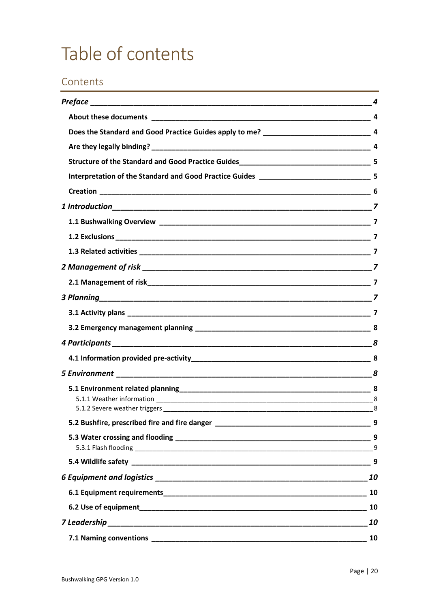# <span id="page-19-0"></span>Table of contents

# Contents

| 4                          |
|----------------------------|
|                            |
|                            |
|                            |
|                            |
|                            |
|                            |
|                            |
|                            |
|                            |
|                            |
|                            |
|                            |
| $\overline{\phantom{a}}$ 7 |
|                            |
|                            |
|                            |
|                            |
|                            |
|                            |
|                            |
|                            |
|                            |
|                            |
|                            |
|                            |
|                            |
| 10                         |
|                            |
|                            |